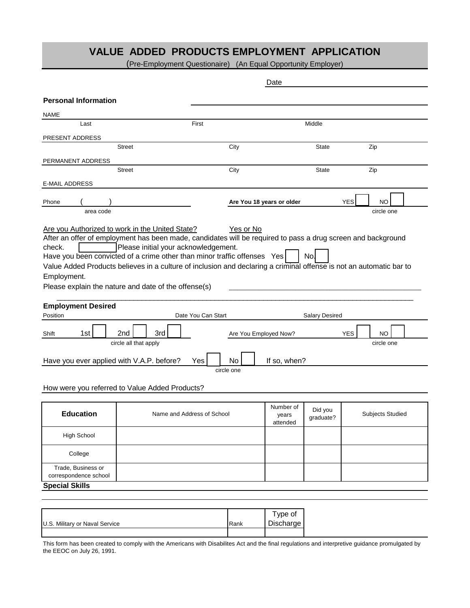## **VALUE ADDED PRODUCTS EMPLOYMENT APPLICATION**

(Pre-Employment Questionaire) (An Equal Opportunity Employer)

|                                                                                                                                                                                                                                                                                                                                                                                                                                                                                                                 | Date                       |                    |                           |                                |                       |            |                         |  |
|-----------------------------------------------------------------------------------------------------------------------------------------------------------------------------------------------------------------------------------------------------------------------------------------------------------------------------------------------------------------------------------------------------------------------------------------------------------------------------------------------------------------|----------------------------|--------------------|---------------------------|--------------------------------|-----------------------|------------|-------------------------|--|
| <b>Personal Information</b>                                                                                                                                                                                                                                                                                                                                                                                                                                                                                     |                            |                    |                           |                                |                       |            |                         |  |
| <b>NAME</b>                                                                                                                                                                                                                                                                                                                                                                                                                                                                                                     |                            |                    |                           |                                |                       |            |                         |  |
| Last                                                                                                                                                                                                                                                                                                                                                                                                                                                                                                            |                            | First              |                           |                                | Middle                |            |                         |  |
| PRESENT ADDRESS                                                                                                                                                                                                                                                                                                                                                                                                                                                                                                 |                            |                    |                           |                                |                       |            |                         |  |
|                                                                                                                                                                                                                                                                                                                                                                                                                                                                                                                 | <b>Street</b>              |                    | City                      |                                | <b>State</b>          |            | Zip                     |  |
| PERMANENT ADDRESS                                                                                                                                                                                                                                                                                                                                                                                                                                                                                               |                            |                    |                           |                                |                       |            |                         |  |
|                                                                                                                                                                                                                                                                                                                                                                                                                                                                                                                 | <b>Street</b>              |                    | City                      |                                | <b>State</b>          |            | Zip                     |  |
| <b>E-MAIL ADDRESS</b>                                                                                                                                                                                                                                                                                                                                                                                                                                                                                           |                            |                    |                           |                                |                       |            |                         |  |
| Phone                                                                                                                                                                                                                                                                                                                                                                                                                                                                                                           |                            |                    | Are You 18 years or older |                                |                       | <b>YES</b> | <b>NO</b>               |  |
| area code                                                                                                                                                                                                                                                                                                                                                                                                                                                                                                       |                            |                    |                           |                                |                       |            | circle one              |  |
| Are you Authorized to work in the United State?<br>Yes or No<br>After an offer of employment has been made, candidates will be required to pass a drug screen and background<br>Please initial your acknowledgement.<br>check.<br>Have you been convicted of a crime other than minor traffic offenses Yes<br>No.<br>Value Added Products believes in a culture of inclusion and declaring a criminal offense is not an automatic bar to<br>Employment.<br>Please explain the nature and date of the offense(s) |                            |                    |                           |                                |                       |            |                         |  |
| <b>Employment Desired</b><br>Position                                                                                                                                                                                                                                                                                                                                                                                                                                                                           |                            | Date You Can Start |                           |                                | <b>Salary Desired</b> |            |                         |  |
| 2nd<br>3rd<br>1st<br><b>YES</b><br>Are You Employed Now?<br>NO.<br>Shift<br>circle all that apply<br>circle one<br>If so, when?<br>Have you ever applied with V.A.P. before?<br>Yes<br>No                                                                                                                                                                                                                                                                                                                       |                            |                    |                           |                                |                       |            |                         |  |
|                                                                                                                                                                                                                                                                                                                                                                                                                                                                                                                 |                            |                    | circle one                |                                |                       |            |                         |  |
| How were you referred to Value Added Products?                                                                                                                                                                                                                                                                                                                                                                                                                                                                  |                            |                    |                           |                                |                       |            |                         |  |
|                                                                                                                                                                                                                                                                                                                                                                                                                                                                                                                 |                            |                    |                           |                                |                       |            |                         |  |
| <b>Education</b>                                                                                                                                                                                                                                                                                                                                                                                                                                                                                                | Name and Address of School |                    |                           | Number of<br>years<br>attended | Did you<br>graduate?  |            | <b>Subjects Studied</b> |  |
| <b>High School</b>                                                                                                                                                                                                                                                                                                                                                                                                                                                                                              |                            |                    |                           |                                |                       |            |                         |  |
| College                                                                                                                                                                                                                                                                                                                                                                                                                                                                                                         |                            |                    |                           |                                |                       |            |                         |  |
| Trade, Business or<br>correspondence school                                                                                                                                                                                                                                                                                                                                                                                                                                                                     |                            |                    |                           |                                |                       |            |                         |  |
| <b>Special Skills</b>                                                                                                                                                                                                                                                                                                                                                                                                                                                                                           |                            |                    |                           |                                |                       |            |                         |  |
|                                                                                                                                                                                                                                                                                                                                                                                                                                                                                                                 |                            |                    |                           |                                |                       |            |                         |  |

|                                |      | Type of   |
|--------------------------------|------|-----------|
| U.S. Military or Naval Service | Rank | Discharge |
|                                |      |           |

This form has been created to comply with the Americans with Disabilites Act and the final regulations and interpretive guidance promulgated by the EEOC on July 26, 1991.